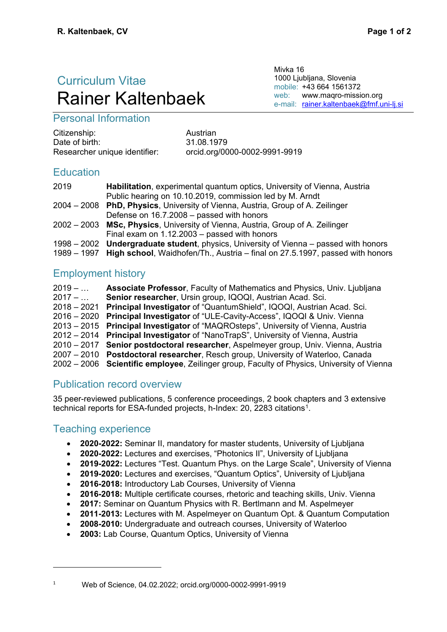# Curriculum Vitae Rainer Kaltenbaek

Mivka 16 1000 Ljubljana, Slovenia mobile: +43 664 1561372 web: [www.maqro-mission.org](http://www.maqro-mission.org/) e-mail: [rainer.kaltenbaek@fmf.uni-lj.si](mailto:rainer.kaltenbaek@fmf.uni-lj.si)

# Personal Information

| Citizenship:                  |
|-------------------------------|
| Date of birth:                |
| Researcher unique identifier: |

Austrian Date of birth: 31.08.1979 orcid.org/0000-0002-9991-9919

# **Education**

| 2019 | Habilitation, experimental quantum optics, University of Vienna, Austria                 |
|------|------------------------------------------------------------------------------------------|
|      | Public hearing on 10.10.2019, commission led by M. Arndt                                 |
|      | 2004 - 2008 PhD, Physics, University of Vienna, Austria, Group of A. Zeilinger           |
|      | Defense on 16.7.2008 – passed with honors                                                |
|      | 2002 – 2003 MSc, Physics, University of Vienna, Austria, Group of A. Zeilinger           |
|      | Final exam on 1.12.2003 – passed with honors                                             |
|      | 1998 - 2002 Undergraduate student, physics, University of Vienna - passed with honors    |
|      | 1989 - 1997 High school, Waidhofen/Th., Austria - final on 27.5.1997, passed with honors |
|      |                                                                                          |

# Employment history

| $2019 - $ | <b>Associate Professor, Faculty of Mathematics and Physics, Univ. Ljubljana</b>            |
|-----------|--------------------------------------------------------------------------------------------|
| $2017 - $ | Senior researcher, Ursin group, IQOQI, Austrian Acad. Sci.                                 |
|           | 2018 – 2021 Principal Investigator of "QuantumShield", IQOQI, Austrian Acad. Sci.          |
|           | 2016 - 2020 Principal Investigator of "ULE-Cavity-Access", IQOQI & Univ. Vienna            |
|           | 2013 – 2015 Principal Investigator of "MAQROsteps", University of Vienna, Austria          |
|           | 2012 – 2014 Principal Investigator of "NanoTrapS", University of Vienna, Austria           |
|           | 2010 - 2017 Senior postdoctoral researcher, Aspelmeyer group, Univ. Vienna, Austria        |
|           | 2007 - 2010 Postdoctoral researcher, Resch group, University of Waterloo, Canada           |
|           | 2002 - 2006 Scientific employee, Zeilinger group, Faculty of Physics, University of Vienna |

# Publication record overview

35 peer-reviewed publications, 5 conference proceedings, 2 book chapters and 3 extensive technical reports for ESA-funded projects, h-Index: 20, 2283 citations<sup>1</sup>.

# Teaching experience

<u>.</u>

- **2020-2022:** Seminar II, mandatory for master students, University of Ljubljana
- **2020-2022:** Lectures and exercises, "Photonics II", University of Ljubljana
- **2019-2022:** Lectures "Test. Quantum Phys. on the Large Scale", University of Vienna
- **2019-2020:** Lectures and exercises, "Quantum Optics", University of Ljubljana
- **2016-2018:** Introductory Lab Courses, University of Vienna
- **2016-2018:** Multiple certificate courses, rhetoric and teaching skills, Univ. Vienna
- **2017:** Seminar on Quantum Physics with R. Bertlmann and M. Aspelmeyer
- **2011-2013:** Lectures with M. Aspelmeyer on Quantum Opt. & Quantum Computation
- **2008-2010:** Undergraduate and outreach courses, University of Waterloo
- **2003:** Lab Course, Quantum Optics, University of Vienna

<span id="page-0-0"></span><sup>1</sup> Web of Science, 04.02.2022; orcid.org/0000-0002-9991-9919